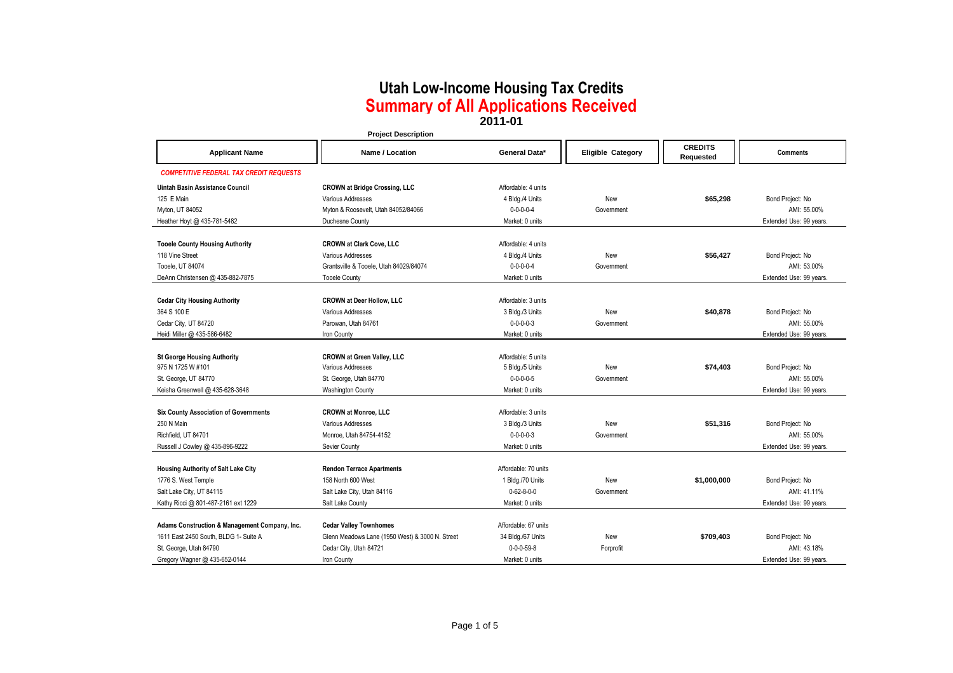| <b>CREDITS</b><br>General Data*<br><b>Eligible Category</b><br><b>Applicant Name</b><br>Name / Location<br><b>Comments</b><br>Requested<br><b>COMPETITIVE FEDERAL TAX CREDIT REQUESTS</b><br>Affordable: 4 units<br>Uintah Basin Assistance Council<br><b>CROWN at Bridge Crossing, LLC</b> |
|---------------------------------------------------------------------------------------------------------------------------------------------------------------------------------------------------------------------------------------------------------------------------------------------|
|                                                                                                                                                                                                                                                                                             |
|                                                                                                                                                                                                                                                                                             |
|                                                                                                                                                                                                                                                                                             |
| 125 E Main<br>Various Addresses<br>4 Bldg./4 Units<br>New<br>\$65,298<br>Bond Project: No                                                                                                                                                                                                   |
| $0 - 0 - 0 - 0 - 4$<br>AMI: 55.00%<br>Myton, UT 84052<br>Myton & Roosevelt, Utah 84052/84066<br>Government                                                                                                                                                                                  |
| Heather Hoyt @ 435-781-5482<br>Duchesne County<br>Market: 0 units<br>Extended Use: 99 years.                                                                                                                                                                                                |
|                                                                                                                                                                                                                                                                                             |
| <b>CROWN at Clark Cove, LLC</b><br><b>Tooele County Housing Authority</b><br>Affordable: 4 units                                                                                                                                                                                            |
| 118 Vine Street<br>Various Addresses<br>4 Bldg./4 Units<br>\$56,427<br>Bond Project: No<br>New                                                                                                                                                                                              |
| Tooele, UT 84074<br>Grantsville & Tooele, Utah 84029/84074<br>$0 - 0 - 0 - 0 - 4$<br>AMI: 53.00%<br>Government                                                                                                                                                                              |
| DeAnn Christensen @ 435-882-7875<br>Market: 0 units<br>Extended Use: 99 years.<br><b>Tooele County</b>                                                                                                                                                                                      |
|                                                                                                                                                                                                                                                                                             |
| <b>Cedar City Housing Authority</b><br><b>CROWN at Deer Hollow, LLC</b><br>Affordable: 3 units                                                                                                                                                                                              |
| 364 S 100 E<br>Various Addresses<br>3 Bldg./3 Units<br>\$40,878<br>Bond Project: No<br>New                                                                                                                                                                                                  |
| $0 - 0 - 0 - 3$<br>AMI: 55.00%<br>Cedar City, UT 84720<br>Parowan, Utah 84761<br>Government                                                                                                                                                                                                 |
| Heidi Miller @ 435-586-6482<br>Iron County<br>Market: 0 units<br>Extended Use: 99 years.                                                                                                                                                                                                    |
|                                                                                                                                                                                                                                                                                             |
| <b>St George Housing Authority</b><br><b>CROWN at Green Valley, LLC</b><br>Affordable: 5 units                                                                                                                                                                                              |
| 975 N 1725 W #101<br>Various Addresses<br>5 Bldg./5 Units<br>New<br>\$74,403<br>Bond Project: No                                                                                                                                                                                            |
| $0 - 0 - 0 - 0 - 5$<br>AMI: 55.00%<br>St. George, UT 84770<br>St. George, Utah 84770<br>Government                                                                                                                                                                                          |
| Keisha Greenwell @ 435-628-3648<br><b>Washington County</b><br>Market: 0 units<br>Extended Use: 99 years.                                                                                                                                                                                   |
|                                                                                                                                                                                                                                                                                             |
| <b>Six County Association of Governments</b><br><b>CROWN at Monroe, LLC</b><br>Affordable: 3 units                                                                                                                                                                                          |
| 250 N Main<br>Various Addresses<br>\$51,316<br>Bond Project: No<br>3 Bldg./3 Units<br>New                                                                                                                                                                                                   |
| Monroe, Utah 84754-4152<br>$0 - 0 - 0 - 3$<br>AMI: 55.00%<br>Richfield, UT 84701<br>Government                                                                                                                                                                                              |
| Russell J Cowley @ 435-896-9222<br>Sevier County<br>Market: 0 units<br>Extended Use: 99 years.                                                                                                                                                                                              |
|                                                                                                                                                                                                                                                                                             |
| Housing Authority of Salt Lake City<br>Affordable: 70 units<br><b>Rendon Terrace Apartments</b>                                                                                                                                                                                             |
| 158 North 600 West<br>Bond Project: No<br>1776 S. West Temple<br>1 Bldg./70 Units<br>New<br>\$1,000,000                                                                                                                                                                                     |
| Salt Lake City, UT 84115<br>$0 - 62 - 8 - 0 - 0$<br>AMI: 41.11%<br>Salt Lake City, Utah 84116<br>Government                                                                                                                                                                                 |
| Market: 0 units<br>Kathy Ricci @ 801-487-2161 ext 1229<br>Salt Lake County<br>Extended Use: 99 years.                                                                                                                                                                                       |
|                                                                                                                                                                                                                                                                                             |
| Adams Construction & Management Company, Inc.<br><b>Cedar Valley Townhomes</b><br>Affordable: 67 units<br>1611 East 2450 South, BLDG 1- Suite A<br>Glenn Meadows Lane (1950 West) & 3000 N. Street<br>Bond Project: No<br>34 Bldg./67 Units<br>New<br>\$709,403                             |
| Cedar City, Utah 84721<br>$0 - 0 - 0 - 59 - 8$<br>AMI: 43.18%<br>St. George, Utah 84790<br>Forprofit                                                                                                                                                                                        |
| Gregory Wagner @ 435-652-0144<br>Iron County<br>Market: 0 units<br>Extended Use: 99 vears.                                                                                                                                                                                                  |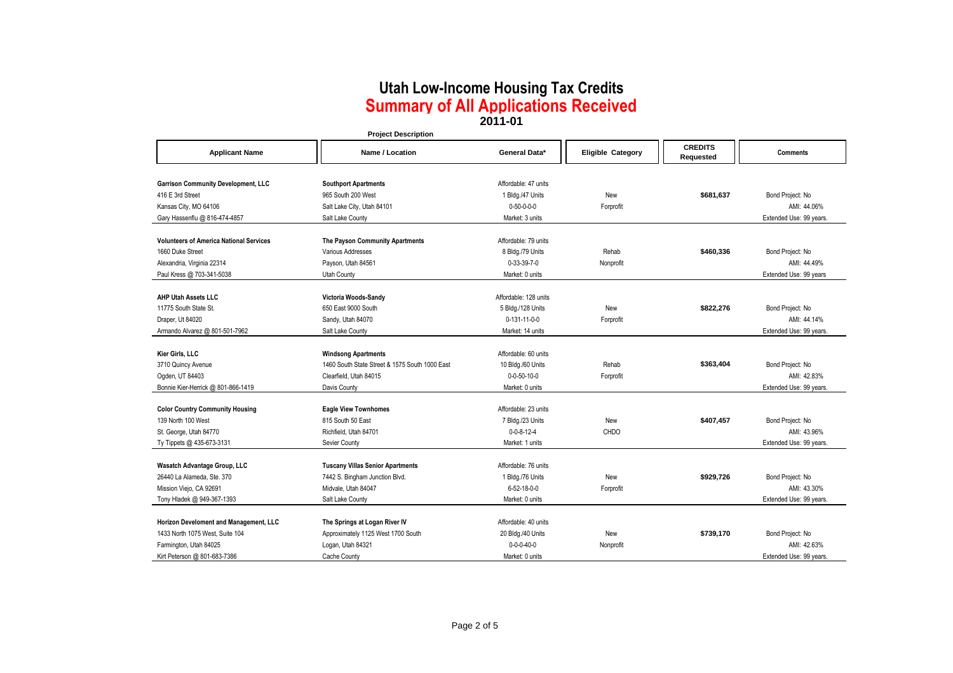|                                                | <b>Project Description</b>                     |                       |                          |                             |                         |
|------------------------------------------------|------------------------------------------------|-----------------------|--------------------------|-----------------------------|-------------------------|
| <b>Applicant Name</b>                          | Name / Location                                | General Data*         | <b>Eligible Category</b> | <b>CREDITS</b><br>Requested | <b>Comments</b>         |
| <b>Garrison Community Development, LLC</b>     | <b>Southport Apartments</b>                    | Affordable: 47 units  |                          |                             |                         |
| 416 E 3rd Street                               | 965 South 200 West                             | 1 Bldg./47 Units      | New                      | \$681.637                   | Bond Project: No        |
| Kansas City, MO 64106                          | Salt Lake City, Utah 84101                     | $0 - 50 - 0 - 0 - 0$  | Forprofit                |                             | AMI: 44.06%             |
| Gary Hassenflu @ 816-474-4857                  | Salt Lake County                               | Market: 3 units       |                          |                             | Extended Use: 99 years. |
|                                                |                                                |                       |                          |                             |                         |
| <b>Volunteers of America National Services</b> | The Payson Community Apartments                | Affordable: 79 units  |                          |                             |                         |
| 1660 Duke Street                               | Various Addresses                              | 8 Bldg./79 Units      | Rehab                    | \$460,336                   | Bond Project: No        |
| Alexandria, Virginia 22314                     | Payson, Utah 84561                             | $0 - 33 - 39 - 7 - 0$ | Nonprofit                |                             | AMI: 44.49%             |
| Paul Kress @ 703-341-5038                      | Utah County                                    | Market: 0 units       |                          |                             | Extended Use: 99 years  |
|                                                |                                                |                       |                          |                             |                         |
| <b>AHP Utah Assets LLC</b>                     | Victoria Woods-Sandy                           | Affordable: 128 units |                          |                             |                         |
| 11775 South State St.                          | 650 East 9000 South                            | 5 Bldg./128 Units     | New                      | \$822,276                   | Bond Project: No        |
| Draper, Ut 84020                               | Sandy, Utah 84070                              | 0-131-11-0-0          | Forprofit                |                             | AMI: 44.14%             |
| Armando Alvarez @ 801-501-7962                 | Salt Lake County                               | Market: 14 units      |                          |                             | Extended Use: 99 years. |
|                                                |                                                |                       |                          |                             |                         |
| Kier Girls, LLC                                | <b>Windsong Apartments</b>                     | Affordable: 60 units  |                          |                             |                         |
| 3710 Quincy Avenue                             | 1460 South State Street & 1575 South 1000 East | 10 Bldg./60 Units     | Rehab                    | \$363.404                   | Bond Project: No        |
| Ogden, UT 84403                                | Clearfield. Utah 84015                         | $0 - 0 - 50 - 10 - 0$ | Forprofit                |                             | AMI: 42.83%             |
| Bonnie Kier-Herrick @ 801-866-1419             | Davis County                                   | Market: 0 units       |                          |                             | Extended Use: 99 years. |
| <b>Color Country Community Housing</b>         | <b>Eagle View Townhomes</b>                    | Affordable: 23 units  |                          |                             |                         |
| 139 North 100 West                             | 815 South 50 East                              | 7 Bldg./23 Units      | New                      | \$407,457                   | Bond Project: No        |
| St. George, Utah 84770                         | Richfield, Utah 84701                          | $0 - 0 - 8 - 12 - 4$  | <b>CHDO</b>              |                             | AMI: 43.96%             |
| Ty Tippets @ 435-673-3131                      | Sevier County                                  | Market: 1 units       |                          |                             | Extended Use: 99 years. |
|                                                |                                                |                       |                          |                             |                         |
| Wasatch Advantage Group, LLC                   | <b>Tuscany Villas Senior Apartments</b>        | Affordable: 76 units  |                          |                             |                         |
| 26440 La Alameda, Ste. 370                     | 7442 S. Bingham Junction Blvd.                 | 1 Bldg./76 Units      | New                      | \$929,726                   | Bond Project: No        |
| Mission Viejo, CA 92691                        | Midvale, Utah 84047                            | 6-52-18-0-0           | Forprofit                |                             | AMI: 43.30%             |
| Tony Hladek @ 949-367-1393                     | Salt Lake County                               | Market: 0 units       |                          |                             | Extended Use: 99 years. |
|                                                |                                                |                       |                          |                             |                         |
| Horizon Develoment and Management, LLC         | The Springs at Logan River IV                  | Affordable: 40 units  |                          |                             |                         |
| 1433 North 1075 West, Suite 104                | Approximately 1125 West 1700 South             | 20 Bldg./40 Units     | New                      | \$739.170                   | Bond Project: No        |
| Farmington, Utah 84025                         | Logan, Utah 84321                              | $0 - 0 - 0 - 40 - 0$  | Nonprofit                |                             | AMI: 42.63%             |
| Kirt Peterson @ 801-683-7386                   | Cache County                                   | Market: 0 units       |                          |                             | Extended Use: 99 years. |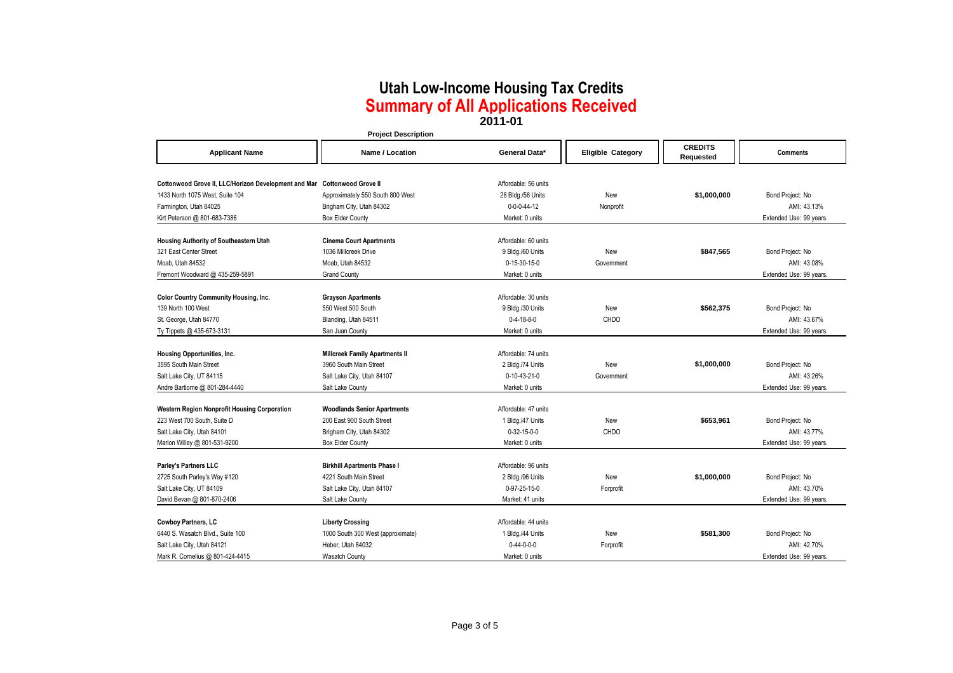|                                                                          | <b>Project Description</b>                                      |                       |                          |                             |                         |
|--------------------------------------------------------------------------|-----------------------------------------------------------------|-----------------------|--------------------------|-----------------------------|-------------------------|
| <b>Applicant Name</b>                                                    | Name / Location                                                 | General Data*         | <b>Eligible Category</b> | <b>CREDITS</b><br>Requested | <b>Comments</b>         |
|                                                                          |                                                                 |                       |                          |                             |                         |
| Cottonwood Grove II, LLC/Horizon Development and Mar Cottonwood Grove II |                                                                 | Affordable: 56 units  |                          |                             |                         |
| 1433 North 1075 West, Suite 104                                          | Approximately 550 South 800 West                                | 28 Bldg./56 Units     | New                      | \$1,000,000                 | Bond Project: No        |
| Farmington, Utah 84025                                                   | Brigham City, Utah 84302                                        | $0 - 0 - 0 - 44 - 12$ | Nonprofit                |                             | AMI: 43.13%             |
| Kirt Peterson @ 801-683-7386                                             | <b>Box Elder County</b>                                         | Market: 0 units       |                          |                             | Extended Use: 99 years. |
|                                                                          |                                                                 |                       |                          |                             |                         |
| Housing Authority of Southeastern Utah                                   | <b>Cinema Court Apartments</b>                                  | Affordable: 60 units  |                          |                             |                         |
| 321 East Center Street                                                   | 1036 Millcreek Drive                                            | 9 Bldg./60 Units      | New                      | \$847,565                   | Bond Project: No        |
| Moab. Utah 84532                                                         | Moab. Utah 84532                                                | $0-15-30-15-0$        | Government               |                             | AMI: 43.08%             |
| Fremont Woodward @ 435-259-5891                                          | <b>Grand County</b>                                             | Market: 0 units       |                          |                             | Extended Use: 99 years. |
| <b>Color Country Community Housing, Inc.</b>                             | <b>Grayson Apartments</b>                                       | Affordable: 30 units  |                          |                             |                         |
| 139 North 100 West                                                       | 550 West 500 South                                              | 9 Bldg./30 Units      | New                      | \$562.375                   | Bond Project: No        |
| St. George, Utah 84770                                                   | Blanding, Utah 84511                                            | $0 - 4 - 18 - 8 - 0$  | CHDO                     |                             | AMI: 43.67%             |
| Ty Tippets @ 435-673-3131                                                | San Juan County                                                 | Market: 0 units       |                          |                             | Extended Use: 99 years. |
|                                                                          |                                                                 |                       |                          |                             |                         |
| Housing Opportunities, Inc.                                              | <b>Millcreek Family Apartments II</b>                           | Affordable: 74 units  |                          |                             |                         |
| 3595 South Main Street                                                   | 3960 South Main Street                                          | 2 Bldg./74 Units      | New                      | \$1,000,000                 | Bond Project: No        |
| Salt Lake City, UT 84115                                                 | Salt Lake City, Utah 84107                                      | $0-10-43-21-0$        | Government               |                             | AMI: 43.26%             |
| Andre Bartlome @ 801-284-4440                                            | Salt Lake County                                                | Market: 0 units       |                          |                             | Extended Use: 99 years. |
|                                                                          |                                                                 | Affordable: 47 units  |                          |                             |                         |
| Western Region Nonprofit Housing Corporation                             | <b>Woodlands Senior Apartments</b><br>200 East 900 South Street |                       |                          |                             |                         |
| 223 West 700 South, Suite D                                              |                                                                 | 1 Bldg./47 Units      | New                      | \$653,961                   | Bond Project: No        |
| Salt Lake City, Utah 84101                                               | Brigham City, Utah 84302                                        | $0 - 32 - 15 - 0 - 0$ | CHDO                     |                             | AMI: 43.77%             |
| Marion Willey @ 801-531-9200                                             | Box Elder County                                                | Market: 0 units       |                          |                             | Extended Use: 99 years. |
| Parley's Partners LLC                                                    | <b>Birkhill Apartments Phase I</b>                              | Affordable: 96 units  |                          |                             |                         |
| 2725 South Parley's Way #120                                             | 4221 South Main Street                                          | 2 Bldg./96 Units      | New                      | \$1,000,000                 | Bond Project: No        |
| Salt Lake City, UT 84109                                                 | Salt Lake City, Utah 84107                                      | 0-97-25-15-0          | Forprofit                |                             | AMI: 43.70%             |
| David Bevan @ 801-870-2406                                               | Salt Lake County                                                | Market: 41 units      |                          |                             | Extended Use: 99 years. |
|                                                                          |                                                                 |                       |                          |                             |                         |
| Cowboy Partners, LC                                                      | <b>Liberty Crossing</b>                                         | Affordable: 44 units  |                          |                             |                         |
| 6440 S. Wasatch Blvd., Suite 100                                         | 1000 South 300 West (approximate)                               | 1 Bldg./44 Units      | New                      | \$581,300                   | Bond Project: No        |
| Salt Lake City, Utah 84121                                               | Heber, Utah 84032                                               | $0 - 44 - 0 - 0 - 0$  | Forprofit                |                             | AMI: 42.70%             |
| Mark R. Cornelius @ 801-424-4415                                         | <b>Wasatch County</b>                                           | Market: 0 units       |                          |                             | Extended Use: 99 years. |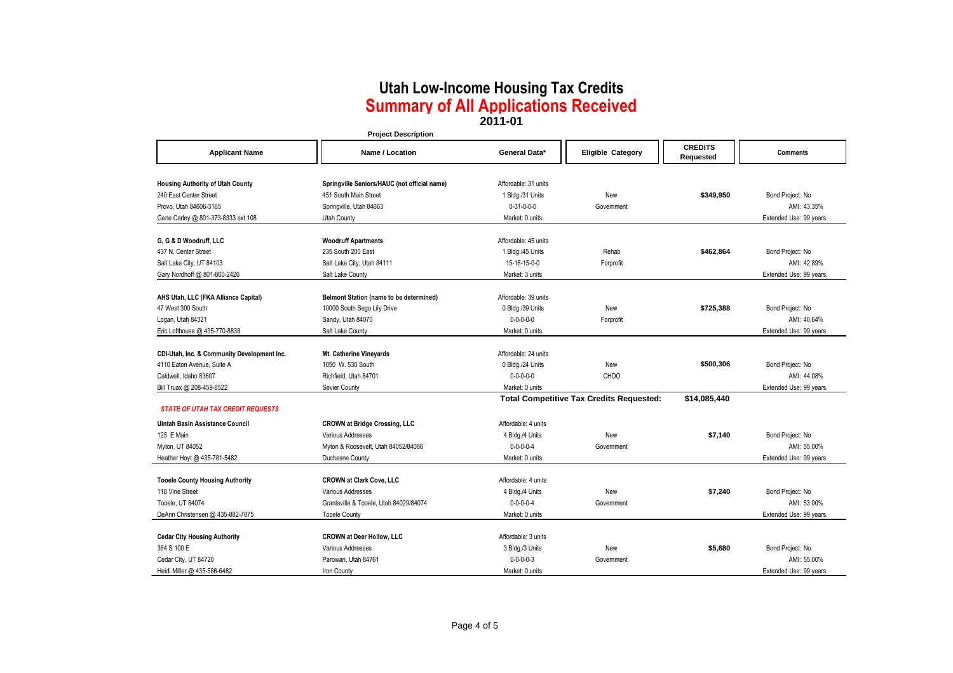|                                             | <b>Project Description</b>                   |                                                 |                          |                             |                         |
|---------------------------------------------|----------------------------------------------|-------------------------------------------------|--------------------------|-----------------------------|-------------------------|
| <b>Applicant Name</b>                       | Name / Location                              | General Data*                                   | <b>Eligible Category</b> | <b>CREDITS</b><br>Requested | <b>Comments</b>         |
|                                             |                                              |                                                 |                          |                             |                         |
| <b>Housing Authority of Utah County</b>     | Springville Seniors/HAUC (not official name) | Affordable: 31 units                            |                          |                             |                         |
| 240 East Center Street                      | 451 South Main Street                        | 1 Bldg./31 Units                                | New                      | \$349,950                   | Bond Project: No        |
| Provo, Utah 84606-3165                      | Springville, Utah 84663                      | $0 - 31 - 0 - 0 - 0$                            | Government               |                             | AMI: 43.35%             |
| Gene Carley @ 801-373-8333 ext 108          | Utah County                                  | Market: 0 units                                 |                          |                             | Extended Use: 99 years. |
|                                             |                                              |                                                 |                          |                             |                         |
| G, G & D Woodruff, LLC                      | <b>Woodruff Apartments</b>                   | Affordable: 45 units                            |                          |                             |                         |
| 437 N. Center Street                        | 235 South 200 East                           | 1 Bldg./45 Units                                | Rehab                    | \$462.864                   | Bond Project: No        |
| Salt Lake City, UT 84103                    | Salt Lake City, Utah 84111                   | 15-18-15-0-0                                    | Forprofit                |                             | AMI: 42.89%             |
| Gary Nordhoff @ 801-860-2426                | Salt Lake County                             | Market: 3 units                                 |                          |                             | Extended Use: 99 years. |
| AHS Utah, LLC (FKA Alliance Capital)        | Belmont Station (name to be determined)      | Affordable: 39 units                            |                          |                             |                         |
| 47 West 300 South                           | 10000 South Sego Lily Drive                  | 0 Bldg./39 Units                                | New                      | \$725,388                   | Bond Project: No        |
| Logan, Utah 84321                           | Sandy, Utah 84070                            | $0 - 0 - 0 - 0 - 0$                             | Forprofit                |                             | AMI: 40.64%             |
| Eric Lofthouse @ 435-770-8838               | Salt Lake County                             | Market: 0 units                                 |                          |                             | Extended Use: 99 years. |
|                                             |                                              |                                                 |                          |                             |                         |
| CDI-Utah, Inc. & Community Development Inc. | Mt. Catherine Vineyards                      | Affordable: 24 units                            |                          |                             |                         |
| 4110 Eaton Avenue, Suite A                  | 1050 W. 530 South                            | 0 Bldg./24 Units                                | New                      | \$500,306                   | Bond Project: No        |
| Caldwell, Idaho 83607                       | Richfield, Utah 84701                        | $0 - 0 - 0 - 0 - 0$                             | CHDO                     |                             | AMI: 44.08%             |
| Bill Truax @ 208-459-8522                   | Sevier County                                | Market: 0 units                                 |                          |                             | Extended Use: 99 years. |
|                                             |                                              | <b>Total Competitive Tax Credits Requested:</b> | \$14,085,440             |                             |                         |
| <b>STATE OF UTAH TAX CREDIT REQUESTS</b>    |                                              |                                                 |                          |                             |                         |
| Uintah Basin Assistance Council             | <b>CROWN at Bridge Crossing, LLC</b>         | Affordable: 4 units                             |                          |                             |                         |
| 125 E Main                                  | Various Addresses                            | 4 Bldg./4 Units                                 | New                      | \$7,140                     | Bond Project: No        |
| Myton, UT 84052                             | Myton & Roosevelt, Utah 84052/84066          | $0 - 0 - 0 - 0 - 4$                             | Government               |                             | AMI: 55.00%             |
| Heather Hoyt @ 435-781-5482                 | Duchesne County                              | Market: 0 units                                 |                          |                             | Extended Use: 99 years. |
|                                             |                                              |                                                 |                          |                             |                         |
| <b>Tooele County Housing Authority</b>      | <b>CROWN at Clark Cove, LLC</b>              | Affordable: 4 units                             |                          |                             |                         |
| 118 Vine Street                             | Various Addresses                            | 4 Bldg./4 Units                                 | New                      | \$7,240                     | Bond Project: No        |
| Tooele, UT 84074                            | Grantsville & Tooele, Utah 84029/84074       | $0 - 0 - 0 - 0 - 4$                             | Government               |                             | AMI: 53.00%             |
| DeAnn Christensen @ 435-882-7875            | <b>Tooele County</b>                         | Market: 0 units                                 |                          |                             | Extended Use: 99 years. |
|                                             |                                              |                                                 |                          |                             |                         |
| <b>Cedar City Housing Authority</b>         | <b>CROWN at Deer Hollow, LLC</b>             | Affordable: 3 units                             |                          |                             |                         |
| 364 S 100 E                                 | Various Addresses                            | 3 Bldg./3 Units                                 | New                      | \$5,680                     | Bond Project: No        |
| Cedar City, UT 84720                        | Parowan, Utah 84761                          | $0 - 0 - 0 - 3$                                 | Government               |                             | AMI: 55.00%             |
| Heidi Miller @ 435-586-6482                 | Iron County                                  | Market: 0 units                                 |                          |                             | Extended Use: 99 years. |